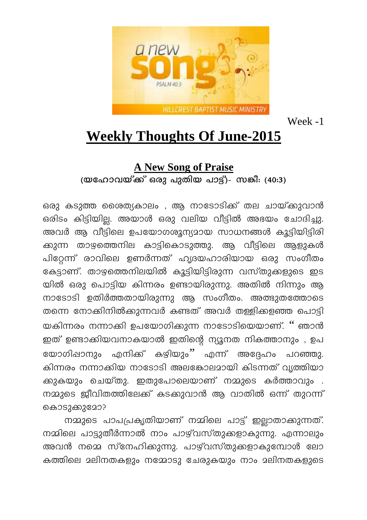

Week -1

## **Weekly Thoughts Of June-2015**

## **A New Song of Praise**

(യഹോവയ്ക്ക് ഒരു പുതിയ പാട്ട്)- സങ്കീ: (40:3)

ഒരു കടുത്ത ശൈത്യകാലം , ആ നാടോടിക്ക് തല ചായ്ക്കുവാൻ ഒരിടം കിട്ടിയില്ല. അയാൾ ഒരു വലിയ വീട്ടിൽ അഭയം ചോദിച്ചു. അവർ ആ വീട്ടിലെ ഉപയോഗശൂന്യമായ സാധനങ്ങൾ കൂട്ടിയിട്ടിരി ക്കുന്ന താഴത്തെനില കാട്ടികൊടുത്തു. ആ വീട്ടിലെ ആളുകൾ പിറ്റേന്ന് രാവിലെ ഉണർന്നത് ഹൃദയഹാരിയായ ഒരു സംഗീതം കേട്ടാണ്. താഴത്തെനിലയിൽ കൂട്ടിയിട്ടിരുന്ന വസ്തുക്കളുടെ ഇട യിൽ ഒരു പൊട്ടിയ കിന്നരം ഉണ്ടായിരുന്നു. അതിൽ നിന്നും ആ നാടോടി ഉതിർത്തതായിരുന്നു ആ സംഗീതം. അത്ഭുതത്തോടെ തന്നെ നോക്കിനിൽക്കുന്നവർ കണ്ടത് അവർ തള്ളികളഞ്ഞ പൊട്ടി യകിന്നരം നന്നാക്കി ഉപയോഗിക്കുന്ന നാടോടിയെയാണ്. '' ഞാൻ ഇത് ഉണ്ടാക്കിയവനാകയാൽ ഇതിന്റെ ന്യൂനത നികത്താനും , ഉപ യോഗിഷാനും എനിക്ക് കഴിയും'' എന്ന് അദ്ദേഹം പറഞ്ഞു. കിന്നരം നന്നാക്കിയ നാടോടി അലങ്കോലമായി കിടന്നത് വ്യത്തിയാ ക്കുകയും ചെയ്തു. ഇതുപോലെയാണ് നമ്മുടെ കർത്താവും . നമ്മുടെ ജീവിതത്തിലേക്ക് കടക്കുവാൻ ആ വാതിൽ ഒന്ന് തുറന്ന് കൊടുക്കുമോ?

നമ്മുടെ പാപപ്രകൃതിയാണ് നമ്മിലെ പാട്ട് ഇല്ലാതാക്കുന്നത്. നമ്മിലെ പാട്ടുതീർന്നാൽ നാം പാഴ്വസ്തുക്കളാകുന്നു. എന്നാലും അവൻ നമ്മെ സ്നേഹിക്കുന്നു. പാഴ്വസ്തുക്കളാകുമ്പോൾ ലോ കത്തിലെ മലിനതകളും നമ്മോടു ചേരുകയും നാം മലിനതകളുടെ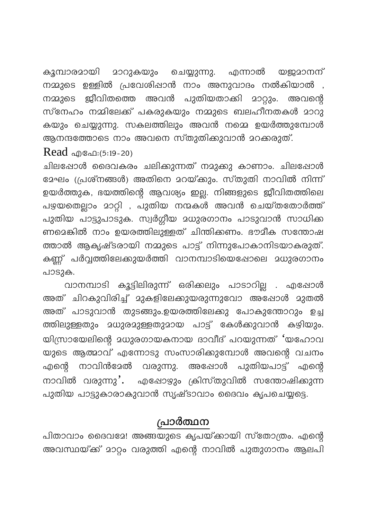മാറുകയും ചെയ്യുന്നു. യജമാനന് കുമ്പാരമായി എന്നാൽ നമ്മുടെ ഉള്ളിൽ പ്രവേശിഷാൻ നാം അനുവാദം നൽകിയാൽ , ജീവിതത്തെ അവൻ പുതിയതാക്കി മാറ്റും. നമ്മുടെ അവന്റെ സ്നേഹം നമ്മിലേക്ക് പകരുകയും നമ്മുടെ ബലഹീനതകൾ മാറു കയും ചെയ്യുന്നു. സകലത്തിലും അവൻ നമ്മെ ഉയർത്തുമ്പോൾ ആനന്ദത്തോടെ നാം അവനെ സ്തുതിക്കുവാൻ മറക്കരുത്.

Read @@@1:(5:19-20)

ചിലപ്പോൾ ദൈവകരം ചലിക്കുന്നത് നമുക്കു കാണാം. ചിലഷോൾ മേഘം (പ്രശ്നങ്ങൾ) അതിനെ മറയ്ക്കും. സ്തുതി നാവിൽ നിന്ന് ഉയർത്തുക, ഭയത്തിന്റെ ആവശ്യം ഇല്ല. നിങ്ങളുടെ ജീവിതത്തിലെ പഴയതെല്ലാം മാറ്റി , പുതിയ നന്മകൾ അവൻ ചെയ്തതോർത്ത് പുതിയ പാട്ടുപാടുക. സ്വർഗ്ഗീയ മധുരഗാനം പാടുവാൻ സാധിക്ക ണമെങ്കിൽ നാം ഉയരത്തിലുള്ളത് ചിന്തിക്കണം. ഭൗമീക സന്തോഷ ത്താൽ ആകൃഷ്ടരായി നമ്മുടെ പാട്ട് നിന്നുപോകാനിടയാകരുത്. കണ്ണ് പർവ്വത്തിലേക്കുയർത്തി വാനമ്പാടിയെഷോലെ മധുരഗാനം പാടുക.

വാനമ്പാടി കൂട്ടിലിരുന്ന് ഒരിക്കലും പാടാറില്ല . എഷോൾ അത് ചിറകുവിരിച്ച് മുകളിലേക്കുയരുന്നുവോ അഷോൾ മുതൽ അത് പാടുവാൻ തുടങ്ങും.ഉയരത്തിലേക്കു പോകുന്തോറും ഉച്ച യിസ്രായേലിന്റെ ദധുരഗായകനായ ദാവീദ് പറയുന്നത് 'യഹോവ യുടെ ആത്മാവ് എന്നോടു സംസാരിക്കുമ്പോൾ അവന്റെ വചനം എന്റെ നാവിൻദേൽ വരുന്നു. അഷോൾ പുതിയപാട്ട് എന്റെ നാവിൽ വരുന്നു'. എഷോഴും ക്രിസ്തുവിൽ സന്തോഷിക്കുന്ന പുതിയ പാട്ടുകാരാകുവാൻ സൃഷ്ടാവാം ദൈവം കൃപചെയ്യട്ടെ.

## പ്രാർത്ഥന

പിതാവാം ദൈവദേ! അങ്ങയുടെ കൃപയ്ക്കായി സ്തോത്രം. എന്റെ അവസ്ഥയ്ക്ക് മാറ്റം വരുത്തി എന്റെ നാവിൽ പുതുഗാനം ആലപി